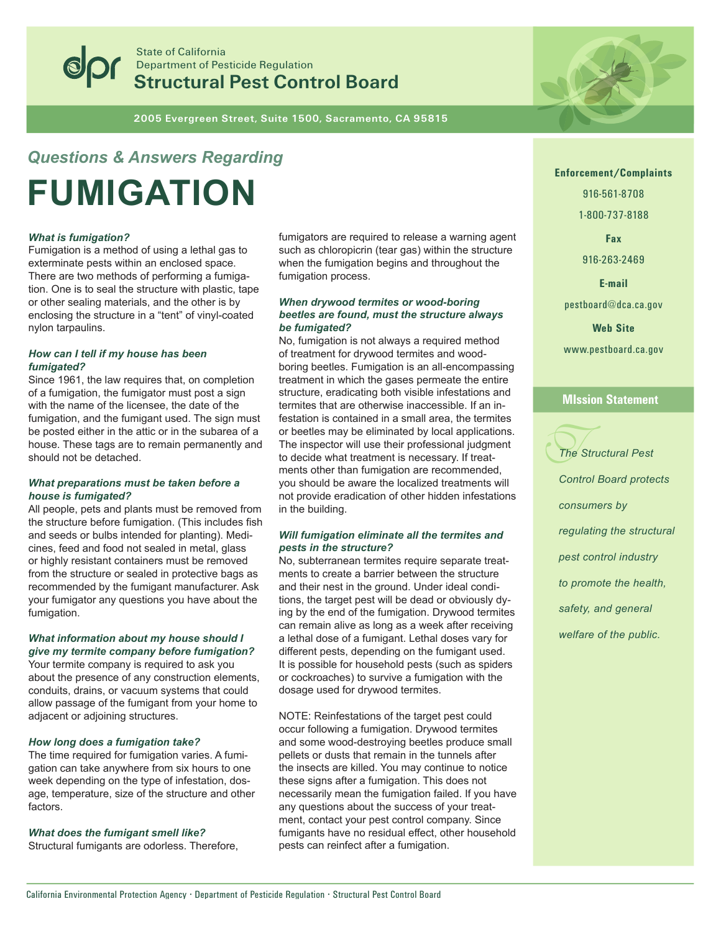

**State of California Department of Pesticide Regulation Structural Pest Control Board** 

2005 Evergreen Street, Suite 1500, Sacramento, CA 95815

# **Questions & Answers Regarding FUMIGATION**

# **What is fumigation?**

Fumigation is a method of using a lethal gas to exterminate pests within an enclosed space. There are two methods of performing a fumigation. One is to seal the structure with plastic, tape or other sealing materials, and the other is by enclosing the structure in a "tent" of vinyl-coated nylon tarpaulins.

# How can I tell if my house has been fumigated?

Since 1961, the law requires that, on completion of a fumigation, the fumigator must post a sign with the name of the licensee, the date of the fumigation, and the fumigant used. The sign must be posted either in the attic or in the subarea of a house. These tags are to remain permanently and should not be detached.

#### What preparations must be taken before a house is fumigated?

All people, pets and plants must be removed from the structure before fumigation. (This includes fish and seeds or bulbs intended for planting). Medicines, feed and food not sealed in metal, glass or highly resistant containers must be removed from the structure or sealed in protective bags as recommended by the fumigant manufacturer. Ask your fumigator any questions you have about the fumigation.

#### What information about my house should I give my termite company before fumigation?

Your termite company is required to ask you about the presence of any construction elements. conduits, drains, or vacuum systems that could allow passage of the fumigant from your home to adjacent or adjoining structures.

#### How long does a fumigation take?

The time required for fumigation varies. A fumigation can take anywhere from six hours to one week depending on the type of infestation, dosage, temperature, size of the structure and other factors.

#### What does the fumigant smell like?

Structural fumigants are odorless. Therefore,

fumigators are required to release a warning agent such as chloropicrin (tear gas) within the structure when the fumigation begins and throughout the fumigation process.

## When drywood termites or wood-boring beetles are found, must the structure always be fumigated?

No, fumigation is not always a required method of treatment for drywood termites and woodboring beetles. Fumigation is an all-encompassing treatment in which the gases permeate the entire structure, eradicating both visible infestations and termites that are otherwise inaccessible. If an infestation is contained in a small area, the termites or beetles may be eliminated by local applications. The inspector will use their professional judgment to decide what treatment is necessary. If treatments other than fumigation are recommended, you should be aware the localized treatments will not provide eradication of other hidden infestations in the building.

# Will fumigation eliminate all the termites and pests in the structure?

No, subterranean termites require separate treatments to create a barrier between the structure and their nest in the ground. Under ideal conditions, the target pest will be dead or obviously dying by the end of the fumigation. Drywood termites can remain alive as long as a week after receiving a lethal dose of a fumigant. Lethal doses vary for different pests, depending on the fumigant used. It is possible for household pests (such as spiders) or cockroaches) to survive a fumigation with the dosage used for drywood termites.

NOTE: Reinfestations of the target pest could occur following a fumigation. Drywood termites and some wood-destroying beetles produce small pellets or dusts that remain in the tunnels after the insects are killed. You may continue to notice these signs after a fumigation. This does not necessarily mean the fumigation failed. If you have any questions about the success of your treatment, contact your pest control company. Since fumigants have no residual effect, other household pests can reinfect after a fumigation.



916-561-8708

1-800-737-8188

Fax

916-263-2469

**F-mail** 

pestboard@dca.ca.gov

**Web Site** 

www.pestboard.ca.gov

# **MIssion Statement**



**Control Board protects** 

consumers by

regulating the structural

pest control industry

to promote the health,

safety, and general

welfare of the public.